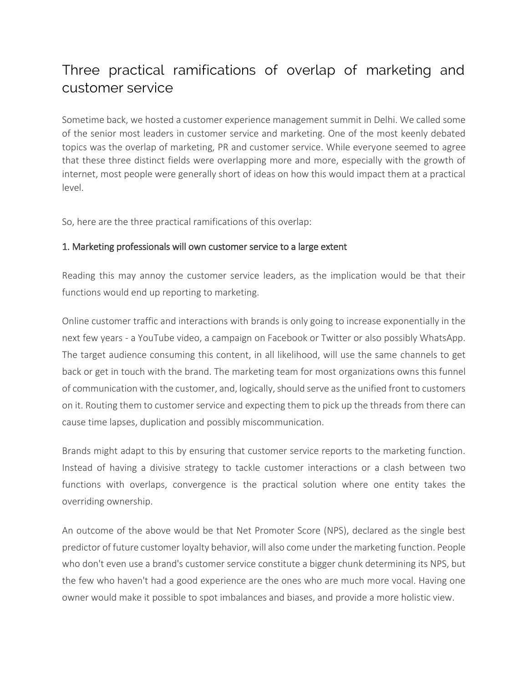# Three practical ramifications of overlap of marketing and customer service

Sometime back, we hosted a customer experience management summit in Delhi. We called some of the senior most leaders in customer service and marketing. One of the most keenly debated topics was the overlap of marketing, PR and customer service. While everyone seemed to agree that these three distinct fields were overlapping more and more, especially with the growth of internet, most people were generally short of ideas on how this would impact them at a practical level.

So, here are the three practical ramifications of this overlap:

## 1. Marketing professionals will own customer service to a large extent

Reading this may annoy the customer service leaders, as the implication would be that their functions would end up reporting to marketing.

Online customer traffic and interactions with brands is only going to increase exponentially in the next few years - a YouTube video, a campaign on Facebook or Twitter or also possibly WhatsApp. The target audience consuming this content, in all likelihood, will use the same channels to get back or get in touch with the brand. The marketing team for most organizations owns this funnel of communication with the customer, and, logically, should serve as the unified front to customers on it. Routing them to customer service and expecting them to pick up the threads from there can cause time lapses, duplication and possibly miscommunication.

Brands might adapt to this by ensuring that customer service reports to the marketing function. Instead of having a divisive strategy to tackle customer interactions or a clash between two functions with overlaps, convergence is the practical solution where one entity takes the overriding ownership.

An outcome of the above would be that Net Promoter Score (NPS), declared as the single best predictor of future customer loyalty behavior, will also come under the marketing function. People who don't even use a brand's customer service constitute a bigger chunk determining its NPS, but the few who haven't had a good experience are the ones who are much more vocal. Having one owner would make it possible to spot imbalances and biases, and provide a more holistic view.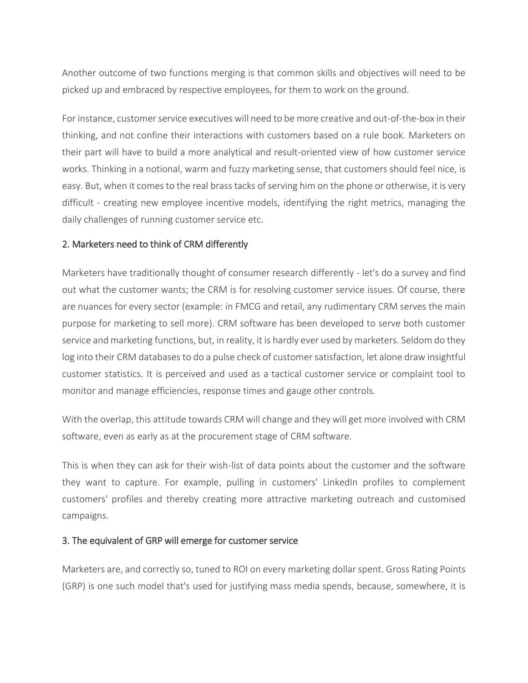Another outcome of two functions merging is that common skills and objectives will need to be picked up and embraced by respective employees, for them to work on the ground.

For instance, customer service executives will need to be more creative and out-of-the-box in their thinking, and not confine their interactions with customers based on a rule book. Marketers on their part will have to build a more analytical and result-oriented view of how customer service works. Thinking in a notional, warm and fuzzy marketing sense, that customers should feel nice, is easy. But, when it comes to the real brass tacks of serving him on the phone or otherwise, it is very difficult - creating new employee incentive models, identifying the right metrics, managing the daily challenges of running customer service etc.

## 2. Marketers need to think of CRM differently

Marketers have traditionally thought of consumer research differently - let's do a survey and find out what the customer wants; the CRM is for resolving customer service issues. Of course, there are nuances for every sector (example: in FMCG and retail, any rudimentary CRM serves the main purpose for marketing to sell more). CRM software has been developed to serve both customer service and marketing functions, but, in reality, it is hardly ever used by marketers. Seldom do they log into their CRM databases to do a pulse check of customer satisfaction, let alone draw insightful customer statistics. It is perceived and used as a tactical customer service or complaint tool to monitor and manage efficiencies, response times and gauge other controls.

With the overlap, this attitude towards CRM will change and they will get more involved with CRM software, even as early as at the procurement stage of CRM software.

This is when they can ask for their wish-list of data points about the customer and the software they want to capture. For example, pulling in customers' LinkedIn profiles to complement customers' profiles and thereby creating more attractive marketing outreach and customised campaigns.

### 3. The equivalent of GRP will emerge for customer service

Marketers are, and correctly so, tuned to ROI on every marketing dollar spent. Gross Rating Points (GRP) is one such model that's used for justifying mass media spends, because, somewhere, it is